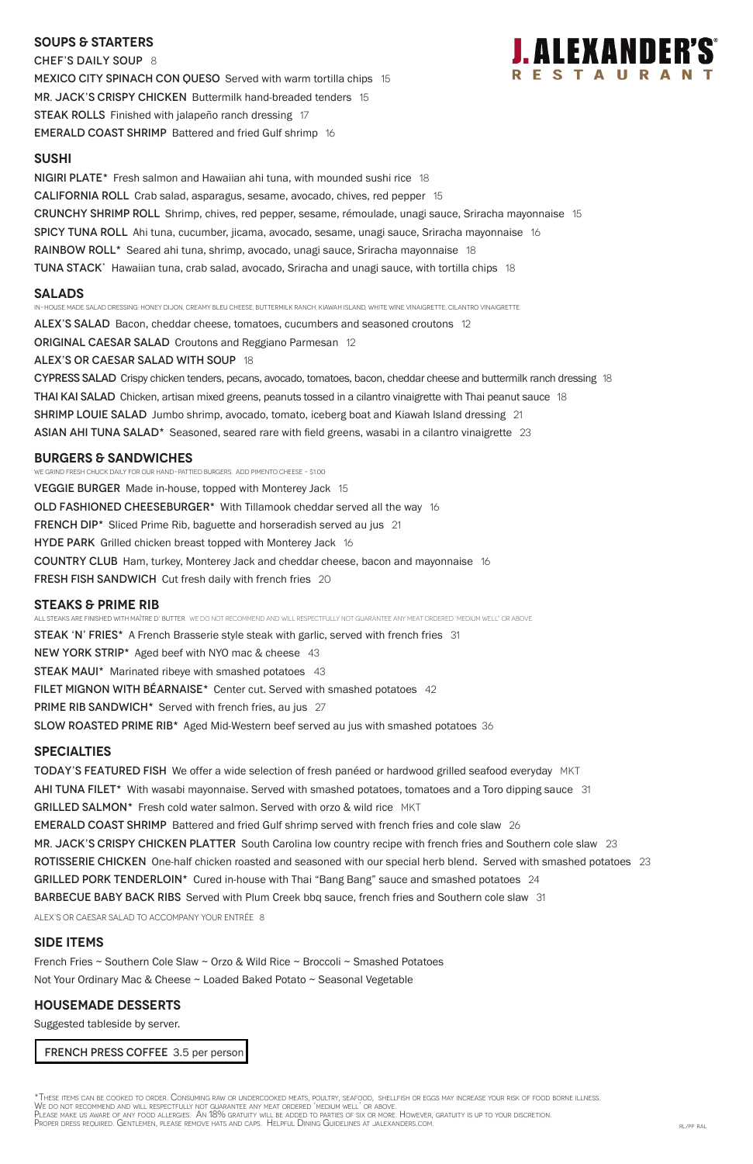## **SOUPS & Starters**

CHEF'S DAILY SOUP 8 MEXICO CITY SPINACH CON QUESO Served with warm tortilla chips 15 MR. JACK'S CRISPY CHICKEN Buttermilk hand-breaded tenders 15 STEAK ROLLS Finished with jalapeño ranch dressing 17 EMERALD COAST SHRIMP Battered and fried Gulf shrimp 16



## **SUsHI**

NIGIRI PLATE\* Fresh salmon and Hawaiian ahi tuna, with mounded sushi rice 18 California Roll Crab salad, asparagus, sesame, avocado, chives, red pepper 15 Crunchy Shrimp Roll Shrimp, chives, red pepper, sesame, rémoulade, unagi sauce, Sriracha mayonnaise 15 Spicy Tuna Roll Ahi tuna, cucumber, jicama, avocado, sesame, unagi sauce, Sriracha mayonnaise 16 **RAINBOW ROLL\*** Seared ahi tuna, shrimp, avocado, unagi sauce, Sriracha mayonnaise 18 TUNA STACK<sup>\*</sup> Hawaiian tuna, crab salad, avocado, Sriracha and unagi sauce, with tortilla chips 18

## **Salads**

In-house made salad dressing: Honey dijon, Creamy bleu cheese, buttermilk ranch, kiawah island, white wine vinaigrette, cilantro vinaigrette.

ALEX'S SALAD Bacon, cheddar cheese, tomatoes, cucumbers and seasoned croutons 12

ORIGINAL CAESAR SALAD Croutons and Reggiano Parmesan 12

All steaks are finished with Maître d' butter. WE DO NOT RECOMMEND AND WILL RESPECTFULLY NOT GUARANTEE ANY MEAT ORDERED 'MEDIUM WELL" OR ABOVE. **STEAK 'N' FRIES\*** A French Brasserie style steak with garlic, served with french fries 31 NEW YORK STRIP\* Aged beef with NYO mac & cheese 43 STEAK MAUI\* Marinated ribeye with smashed potatoes 43 FILET MIGNON WITH BÉARNAISE\* Center cut. Served with smashed potatoes 42 **PRIME RIB SANDWICH\*** Served with french fries, au jus 27 SLOW ROASTED PRIME RIB<sup>\*</sup> Aged Mid-Western beef served au jus with smashed potatoes 36

## alex's or Caesar Salad with soup 18

CYPRESS SALAD Crispy chicken tenders, pecans, avocado, tomatoes, bacon, cheddar cheese and buttermilk ranch dressing 18 THAI KAI SALAD Chicken, artisan mixed greens, peanuts tossed in a cilantro vinaigrette with Thai peanut sauce 18 SHRIMP LOUIE SALAD Jumbo shrimp, avocado, tomato, iceberg boat and Kiawah Island dressing 21 ASIAN AHI TUNA SALAD\* Seasoned, seared rare with field greens, wasabi in a cilantro vinaigrette 23

## **burgers & Sandwiches**

We grind fresh chuck daily for our hand-pattied burgers. Add pimento cheese - \$1.00

**VEGGIE BURGER** Made in-house, topped with Monterey Jack 15 OLD FASHIONED CHEESEBURGER<sup>\*</sup> With Tillamook cheddar served all the way 16 FRENCH DIP\* Sliced Prime Rib, baguette and horseradish served au jus 21 HYDE PARK Grilled chicken breast topped with Monterey Jack 16 COUNTRY CLUB Ham, turkey, Monterey Jack and cheddar cheese, bacon and mayonnaise 16 **FRESH FISH SANDWICH** Cut fresh daily with french fries 20

## **STEAKS & Prime Rib**

## **specialties**

TODAY'S FEATURED FISH We offer a wide selection of fresh panéed or hardwood grilled seafood everyday MKT AHI TUNA FILET<sup>\*</sup> With wasabi mayonnaise. Served with smashed potatoes, tomatoes and a Toro dipping sauce 31 GRILLED SALMON\* Fresh cold water salmon. Served with orzo & wild rice MKT EMERALD COAST SHRIMP Battered and fried Gulf shrimp served with french fries and cole slaw 26 MR. JACK'S CRISPY CHICKEN PLATTER South Carolina low country recipe with french fries and Southern cole slaw 23

ROTISSERIE CHICKEN One-half chicken roasted and seasoned with our special herb blend. Served with smashed potatoes 23 GRILLED PORK TENDERLOIN\* Cured in-house with Thai "Bang Bang" sauce and smashed potatoes 24 BARBECUE BABY BACK RIBS Served with Plum Creek bbq sauce, french fries and Southern cole slaw 31

ALEX's or Caesar salad to accompany your entrée 8

# **SIDE ITEMS**

French Fries ~ Southern Cole Slaw ~ Orzo & Wild Rice ~ Broccoli ~ Smashed Potatoes

Not Your Ordinary Mac & Cheese ~ Loaded Baked Potato ~ Seasonal Vegetable

# **housemade DESSERTS**

Suggested tableside by server.

FRENCH PRESS COFFEE 3.5 per person

\*These items can be cooked to order. Consuming raw or undercooked meats, poultry, seafood, shellfish or eggs may increase your risk of food borne illness.<br>We do not recommend and will respectfully not guarantee any meat or